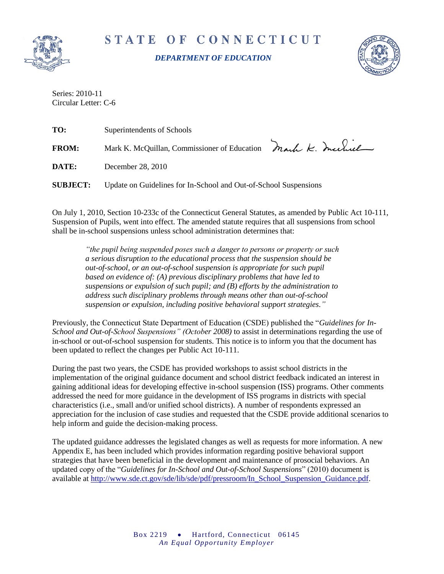

STATE OF CONNECTICUT

*DEPARTMENT OF EDUCATION*



Series: 2010-11 Circular Letter: C-6

| TO:             | Superintendents of Schools                                       |  |
|-----------------|------------------------------------------------------------------|--|
| <b>FROM:</b>    | Mark K. McQuillan, Commissioner of Education Mark K. Includ      |  |
| DATE:           | December 28, 2010                                                |  |
| <b>SUBJECT:</b> | Update on Guidelines for In-School and Out-of-School Suspensions |  |

On July 1, 2010, Section 10-233c of the Connecticut General Statutes, as amended by Public Act 10-111, Suspension of Pupils, went into effect. The amended statute requires that all suspensions from school shall be in-school suspensions unless school administration determines that:

*"the pupil being suspended poses such a danger to persons or property or such a serious disruption to the educational process that the suspension should be out-of-school, or an out-of-school suspension is appropriate for such pupil based on evidence of: (A) previous disciplinary problems that have led to suspensions or expulsion of such pupil; and (B) efforts by the administration to address such disciplinary problems through means other than out-of-school suspension or expulsion, including positive behavioral support strategies."*

Previously, the Connecticut State Department of Education (CSDE) published the "*Guidelines for In-School and Out-of-School Suspensions" (October 2008)* to assist in determinations regarding the use of in-school or out-of-school suspension for students. This notice is to inform you that the document has been updated to reflect the changes per Public Act 10-111.

During the past two years, the CSDE has provided workshops to assist school districts in the implementation of the original guidance document and school district feedback indicated an interest in gaining additional ideas for developing effective in-school suspension (ISS) programs. Other comments addressed the need for more guidance in the development of ISS programs in districts with special characteristics (i.e., small and/or unified school districts). A number of respondents expressed an appreciation for the inclusion of case studies and requested that the CSDE provide additional scenarios to help inform and guide the decision-making process.

The updated guidance addresses the legislated changes as well as requests for more information. A new Appendix E, has been included which provides information regarding positive behavioral support strategies that have been beneficial in the development and maintenance of prosocial behaviors. An updated copy of the "*Guidelines for In-School and Out-of-School Suspensions*" (2010) document is available at [http://www.sde.ct.gov/sde/lib/sde/pdf/pressroom/In\\_School\\_Suspension\\_Guidance.pdf.](http://www.sde.ct.gov/sde/lib/sde/pdf/pressroom/In_School_Suspension_Guidance.pdf)